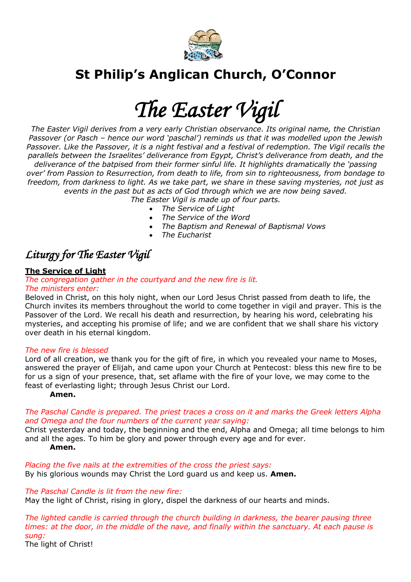

# **St Philip's Anglican Church, O'Connor**

# *The Easter Vigil*

*The Easter Vigil derives from a very early Christian observance. Its original name, the Christian Passover (or Pasch – hence our word 'paschal') reminds us that it was modelled upon the Jewish*  Passover. Like the Passover, it is a night festival and a festival of redemption. The Vigil recalls the *parallels between the Israelites' deliverance from Egypt, Christ's deliverance from death, and the deliverance of the batpised from their former sinful life. It highlights dramatically the 'passing over' from Passion to Resurrection, from death to life, from sin to righteousness, from bondage to freedom, from darkness to light. As we take part, we share in these saving mysteries, not just as events in the past but as acts of God through which we are now being saved.*

*The Easter Vigil is made up of four parts.*

- *The Service of Light*
- *The Service of the Word*
- *The Baptism and Renewal of Baptismal Vows*
- *The Eucharist*

# *Liturgy for The Easter Vigil*

#### **The Service of Light**

#### *The congregation gather in the courtyard and the new fire is lit. The ministers enter:*

Beloved in Christ, on this holy night, when our Lord Jesus Christ passed from death to life, the Church invites its members throughout the world to come together in vigil and prayer. This is the Passover of the Lord. We recall his death and resurrection, by hearing his word, celebrating his mysteries, and accepting his promise of life; and we are confident that we shall share his victory over death in his eternal kingdom.

#### *The new fire is blessed*

Lord of all creation, we thank you for the gift of fire, in which you revealed your name to Moses, answered the prayer of Elijah, and came upon your Church at Pentecost: bless this new fire to be for us a sign of your presence, that, set aflame with the fire of your love, we may come to the feast of everlasting light; through Jesus Christ our Lord.

#### **Amen.**

#### *The Paschal Candle is prepared. The priest traces a cross on it and marks the Greek letters Alpha and Omega and the four numbers of the current year saying:*

Christ yesterday and today, the beginning and the end, Alpha and Omega; all time belongs to him and all the ages. To him be glory and power through every age and for ever.

#### **Amen.**

*Placing the five nails at the extremities of the cross the priest says:* By his glorious wounds may Christ the Lord guard us and keep us. **Amen.**

#### *The Paschal Candle is lit from the new fire:*

May the light of Christ, rising in glory, dispel the darkness of our hearts and minds.

*The lighted candle is carried through the church building in darkness, the bearer pausing three times: at the door, in the middle of the nave, and finally within the sanctuary. At each pause is sung:* The light of Christ!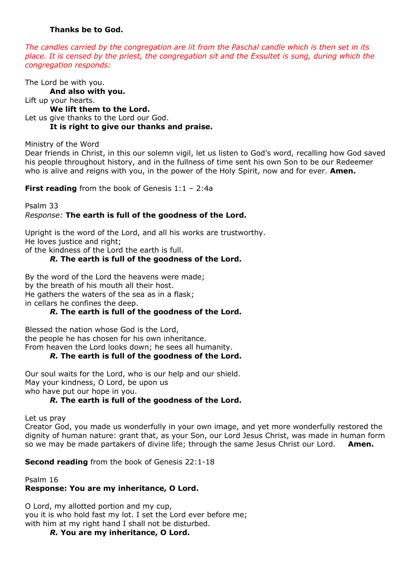### **Thanks be to God.**

*The candles carried by the congregation are lit from the Paschal candle which is then set in its place. It is censed by the priest, the congregation sit and the Exsultet is sung, during which the congregation responds:*

The Lord be with you. **And also with you.** Lift up your hearts. **We lift them to the Lord.** Let us give thanks to the Lord our God. **It is right to give our thanks and praise.**

Ministry of the Word

Dear friends in Christ, in this our solemn vigil, let us listen to God's word, recalling how God saved his people throughout history, and in the fullness of time sent his own Son to be our Redeemer who is alive and reigns with you, in the power of the Holy Spirit, now and for ever. **Amen.**

**First reading** from the book of Genesis 1:1 – 2:4a

Psalm 33 *Response:* **The earth is full of the goodness of the Lord.**

Upright is the word of the Lord, and all his works are trustworthy. He loves justice and right;

of the kindness of the Lord the earth is full.

#### *R.* **The earth is full of the goodness of the Lord.**

By the word of the Lord the heavens were made; by the breath of his mouth all their host. He gathers the waters of the sea as in a flask; in cellars he confines the deep.

#### *R.* **The earth is full of the goodness of the Lord.**

Blessed the nation whose God is the Lord, the people he has chosen for his own inheritance. From heaven the Lord looks down; he sees all humanity.

# *R.* **The earth is full of the goodness of the Lord.**

Our soul waits for the Lord, who is our help and our shield. May your kindness, O Lord, be upon us who have put our hope in you.

#### *R.* **The earth is full of the goodness of the Lord.**

Let us pray

Creator God, you made us wonderfully in your own image, and yet more wonderfully restored the dignity of human nature: grant that, as your Son, our Lord Jesus Christ, was made in human form so we may be made partakers of divine life; through the same Jesus Christ our Lord. **Amen.** 

**Second reading** from the book of Genesis 22:1-18

# Psalm 16 **Response: You are my inheritance, O Lord.**

O Lord, my allotted portion and my cup, you it is who hold fast my lot. I set the Lord ever before me; with him at my right hand I shall not be disturbed.

#### *R.* **You are my inheritance, O Lord.**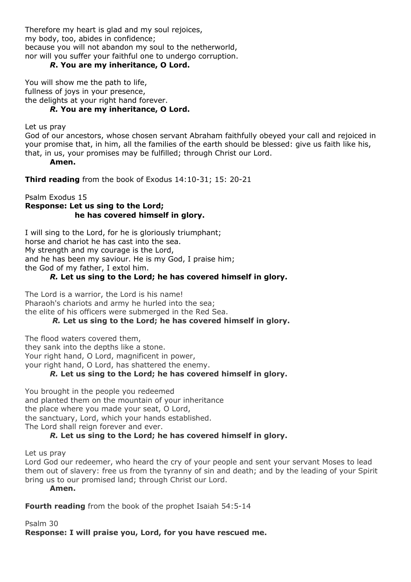Therefore my heart is glad and my soul rejoices, my body, too, abides in confidence; because you will not abandon my soul to the netherworld, nor will you suffer your faithful one to undergo corruption.

#### *R***. You are my inheritance, O Lord.**

You will show me the path to life, fullness of joys in your presence, the delights at your right hand forever.

# *R.* **You are my inheritance, O Lord.**

Let us pray

God of our ancestors, whose chosen servant Abraham faithfully obeyed your call and rejoiced in your promise that, in him, all the families of the earth should be blessed: give us faith like his, that, in us, your promises may be fulfilled; through Christ our Lord.

**Amen.**

**Third reading** from the book of Exodus 14:10-31; 15: 20-21

#### Psalm Exodus 15 **Response: Let us sing to the Lord; he has covered himself in glory.**

I will sing to the Lord, for he is gloriously triumphant; horse and chariot he has cast into the sea. My strength and my courage is the Lord, and he has been my saviour. He is my God, I praise him; the God of my father, I extol him.

# *R.* **Let us sing to the Lord; he has covered himself in glory.**

The Lord is a warrior, the Lord is his name! Pharaoh's chariots and army he hurled into the sea; the elite of his officers were submerged in the Red Sea.

# *R.* **Let us sing to the Lord; he has covered himself in glory.**

The flood waters covered them, they sank into the depths like a stone. Your right hand, O Lord, magnificent in power, your right hand, O Lord, has shattered the enemy.

# *R.* **Let us sing to the Lord; he has covered himself in glory.**

You brought in the people you redeemed and planted them on the mountain of your inheritance the place where you made your seat, O Lord, the sanctuary, Lord, which your hands established. The Lord shall reign forever and ever.

# *R.* **Let us sing to the Lord; he has covered himself in glory.**

Let us pray

Lord God our redeemer, who heard the cry of your people and sent your servant Moses to lead them out of slavery: free us from the tyranny of sin and death; and by the leading of your Spirit bring us to our promised land; through Christ our Lord.

**Amen.**

**Fourth reading** from the book of the prophet Isaiah 54:5-14

Psalm 30 **Response: I will praise you, Lord, for you have rescued me.**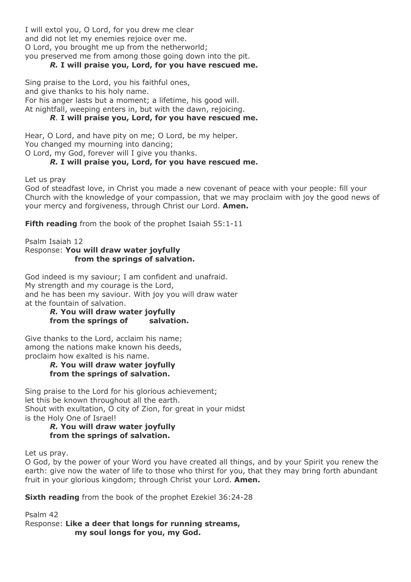I will extol you, O Lord, for you drew me clear and did not let my enemies rejoice over me. O Lord, you brought me up from the netherworld; you preserved me from among those going down into the pit.

# *R.* **I will praise you, Lord, for you have rescued me.**

Sing praise to the Lord, you his faithful ones, and give thanks to his holy name. For his anger lasts but a moment; a lifetime, his good will. At nightfall, weeping enters in, but with the dawn, rejoicing.

#### *R.* **I will praise you, Lord, for you have rescued me.**

Hear, O Lord, and have pity on me; O Lord, be my helper. You changed my mourning into dancing; O Lord, my God, forever will I give you thanks.

# *R.* **I will praise you, Lord, for you have rescued me.**

Let us pray

God of steadfast love, in Christ you made a new covenant of peace with your people: fill your Church with the knowledge of your compassion, that we may proclaim with joy the good news of your mercy and forgiveness, through Christ our Lord. **Amen.**

**Fifth reading** from the book of the prophet Isaiah 55:1-11

Psalm Isaiah 12 Response: **You will draw water joyfully from the springs of salvation.**

God indeed is my saviour; I am confident and unafraid. My strength and my courage is the Lord, and he has been my saviour. With joy you will draw water at the fountain of salvation.

#### *R.* **You will draw water joyfully from the springs of salvation.**

Give thanks to the Lord, acclaim his name; among the nations make known his deeds, proclaim how exalted is his name.

#### *R.* **You will draw water joyfully from the springs of salvation.**

Sing praise to the Lord for his glorious achievement; let this be known throughout all the earth. Shout with exultation, O city of Zion, for great in your midst is the Holy One of Israel!

#### *R.* **You will draw water joyfully from the springs of salvation.**

Let us pray.

O God, by the power of your Word you have created all things, and by your Spirit you renew the earth: give now the water of life to those who thirst for you, that they may bring forth abundant fruit in your glorious kingdom; through Christ your Lord. **Amen.**

**Sixth reading** from the book of the prophet Ezekiel 36:24-28

Psalm 42 Response: **Like a deer that longs for running streams, my soul longs for you, my God.**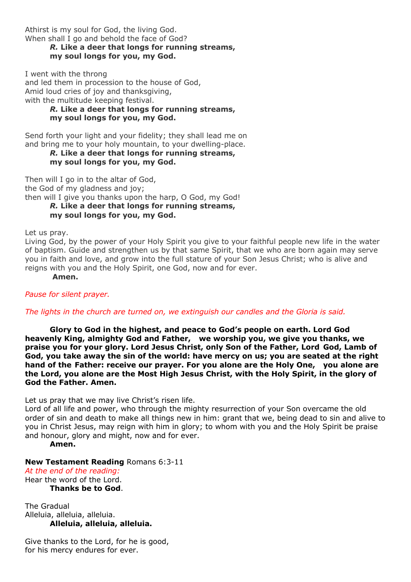Athirst is my soul for God, the living God. When shall I go and behold the face of God?

# *R.* **Like a deer that longs for running streams, my soul longs for you, my God.**

I went with the throng and led them in procession to the house of God, Amid loud cries of joy and thanksgiving, with the multitude keeping festival.

#### *R.* **Like a deer that longs for running streams, my soul longs for you, my God.**

Send forth your light and your fidelity; they shall lead me on and bring me to your holy mountain, to your dwelling-place.

*R.* **Like a deer that longs for running streams, my soul longs for you, my God.**

Then will I go in to the altar of God, the God of my gladness and joy; then will I give you thanks upon the harp, O God, my God! *R.* **Like a deer that longs for running streams, my soul longs for you, my God.**

Let us pray.

Living God, by the power of your Holy Spirit you give to your faithful people new life in the water of baptism. Guide and strengthen us by that same Spirit, that we who are born again may serve you in faith and love, and grow into the full stature of your Son Jesus Christ; who is alive and reigns with you and the Holy Spirit, one God, now and for ever.

**Amen.**

*Pause for silent prayer.*

#### *The lights in the church are turned on, we extinguish our candles and the Gloria is said.*

**Glory to God in the highest, and peace to God's people on earth. Lord God heavenly King, almighty God and Father, we worship you, we give you thanks, we praise you for your glory. Lord Jesus Christ, only Son of the Father, Lord God, Lamb of God, you take away the sin of the world: have mercy on us; you are seated at the right hand of the Father: receive our prayer. For you alone are the Holy One, you alone are the Lord, you alone are the Most High Jesus Christ, with the Holy Spirit, in the glory of God the Father. Amen.**

Let us pray that we may live Christ's risen life.

Lord of all life and power, who through the mighty resurrection of your Son overcame the old order of sin and death to make all things new in him: grant that we, being dead to sin and alive to you in Christ Jesus, may reign with him in glory; to whom with you and the Holy Spirit be praise and honour, glory and might, now and for ever.

**Amen.**

**New Testament Reading** Romans 6:3-11 *At the end of the reading:* Hear the word of the Lord. **Thanks be to God**.

The Gradual Alleluia, alleluia, alleluia. **Alleluia, alleluia, alleluia.**

Give thanks to the Lord, for he is good, for his mercy endures for ever.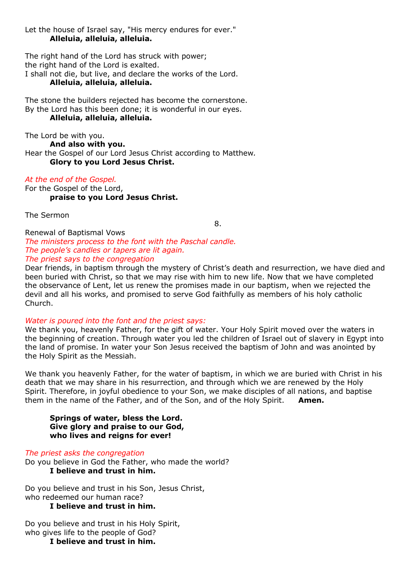Let the house of Israel say, "His mercy endures for ever." **Alleluia, alleluia, alleluia.**

The right hand of the Lord has struck with power; the right hand of the Lord is exalted. I shall not die, but live, and declare the works of the Lord. **Alleluia, alleluia, alleluia.**

The stone the builders rejected has become the cornerstone. By the Lord has this been done; it is wonderful in our eyes. **Alleluia, alleluia, alleluia.**

The Lord be with you. **And also with you.** Hear the Gospel of our Lord Jesus Christ according to Matthew*.* **Glory to you Lord Jesus Christ.**

#### *At the end of the Gospel.*

For the Gospel of the Lord, **praise to you Lord Jesus Christ.**

The Sermon

8.

Renewal of Baptismal Vows *The ministers process to the font with the Paschal candle. The people's candles or tapers are lit again. The priest says to the congregation*

Dear friends, in baptism through the mystery of Christ's death and resurrection, we have died and been buried with Christ, so that we may rise with him to new life. Now that we have completed the observance of Lent, let us renew the promises made in our baptism, when we rejected the devil and all his works, and promised to serve God faithfully as members of his holy catholic Church.

#### *Water is poured into the font and the priest says:*

We thank you, heavenly Father, for the gift of water. Your Holy Spirit moved over the waters in the beginning of creation. Through water you led the children of Israel out of slavery in Egypt into the land of promise. In water your Son Jesus received the baptism of John and was anointed by the Holy Spirit as the Messiah.

We thank you heavenly Father, for the water of baptism, in which we are buried with Christ in his death that we may share in his resurrection, and through which we are renewed by the Holy Spirit. Therefore, in joyful obedience to your Son, we make disciples of all nations, and baptise them in the name of the Father, and of the Son, and of the Holy Spirit. **Amen.**

#### **Springs of water, bless the Lord. Give glory and praise to our God, who lives and reigns for ever!**

#### *The priest asks the congregation*

Do you believe in God the Father, who made the world? **I believe and trust in him.**

Do you believe and trust in his Son, Jesus Christ, who redeemed our human race?

#### **I believe and trust in him.**

Do you believe and trust in his Holy Spirit, who gives life to the people of God?

**I believe and trust in him.**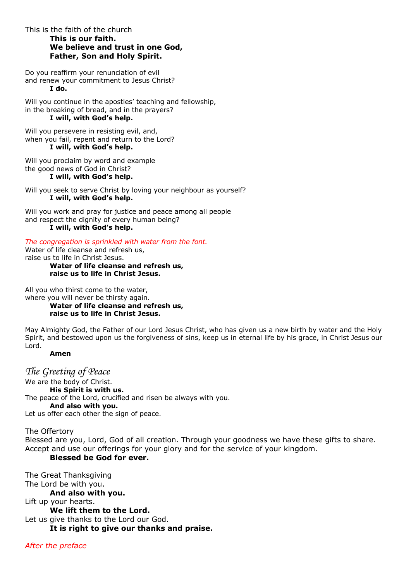#### This is the faith of the church **This is our faith. We believe and trust in one God, Father, Son and Holy Spirit.**

Do you reaffirm your renunciation of evil and renew your commitment to Jesus Christ? **I do.**

Will you continue in the apostles' teaching and fellowship, in the breaking of bread, and in the prayers? **I will, with God's help.**

Will you persevere in resisting evil, and, when you fail, repent and return to the Lord? **I will, with God's help.**

Will you proclaim by word and example the good news of God in Christ?

# **I will, with God's help.**

Will you seek to serve Christ by loving your neighbour as yourself? **I will, with God's help.**

Will you work and pray for justice and peace among all people and respect the dignity of every human being?

#### **I will, with God's help.**

*The congregation is sprinkled with water from the font.*  Water of life cleanse and refresh us, raise us to life in Christ Jesus.

> **Water of life cleanse and refresh us, raise us to life in Christ Jesus.**

All you who thirst come to the water, where you will never be thirsty again.

**Water of life cleanse and refresh us, raise us to life in Christ Jesus.**

May Almighty God, the Father of our Lord Jesus Christ, who has given us a new birth by water and the Holy Spirit, and bestowed upon us the forgiveness of sins, keep us in eternal life by his grace, in Christ Jesus our Lord.

#### **Amen**

*The Greeting of Peace* We are the body of Christ. **His Spirit is with us.** The peace of the Lord, crucified and risen be always with you. **And also with you.** Let us offer each other the sign of peace.

The Offertory Blessed are you, Lord, God of all creation. Through your goodness we have these gifts to share. Accept and use our offerings for your glory and for the service of your kingdom.

#### **Blessed be God for ever.**

The Great Thanksgiving The Lord be with you. **And also with you.** Lift up your hearts. **We lift them to the Lord.** Let us give thanks to the Lord our God. **It is right to give our thanks and praise.**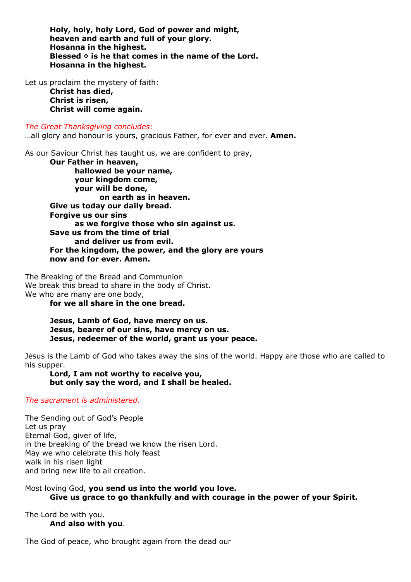**Holy, holy, holy Lord, God of power and might, heaven and earth and full of your glory. Hosanna in the highest. Blessed** X **is he that comes in the name of the Lord. Hosanna in the highest.**

Let us proclaim the mystery of faith: **Christ has died, Christ is risen, Christ will come again.** 

#### *The Great Thanksgiving concludes:*

…all glory and honour is yours, gracious Father, for ever and ever. **Amen.**

As our Saviour Christ has taught us, we are confident to pray,

**Our Father in heaven, hallowed be your name, your kingdom come, your will be done, on earth as in heaven. Give us today our daily bread. Forgive us our sins as we forgive those who sin against us. Save us from the time of trial and deliver us from evil. For the kingdom, the power, and the glory are yours now and for ever. Amen.**

The Breaking of the Bread and Communion We break this bread to share in the body of Christ. We who are many are one body,

**for we all share in the one bread.**

**Jesus, Lamb of God, have mercy on us. Jesus, bearer of our sins, have mercy on us. Jesus, redeemer of the world, grant us your peace.**

Jesus is the Lamb of God who takes away the sins of the world. Happy are those who are called to his supper.

**Lord, I am not worthy to receive you, but only say the word, and I shall be healed.** 

#### *The sacrament is administered.*

The Sending out of God's People Let us pray Eternal God, giver of life, in the breaking of the bread we know the risen Lord. May we who celebrate this holy feast walk in his risen light and bring new life to all creation.

Most loving God, **you send us into the world you love. Give us grace to go thankfully and with courage in the power of your Spirit.**

The Lord be with you. **And also with you**.

The God of peace, who brought again from the dead our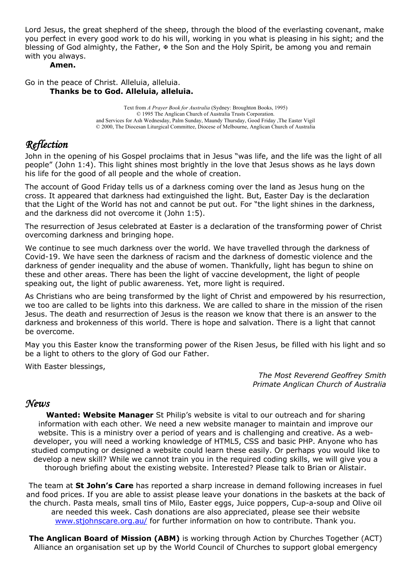Lord Jesus, the great shepherd of the sheep, through the blood of the everlasting covenant, make you perfect in every good work to do his will, working in you what is pleasing in his sight; and the blessing of God almighty, the Father,  $\ast$  the Son and the Holy Spirit, be among you and remain with you always.

**Amen.**

Go in the peace of Christ. Alleluia, alleluia. **Thanks be to God. Alleluia, alleluia.**

> Text from *A Prayer Book for Australia* (Sydney: Broughton Books, 1995) © 1995 The Anglican Church of Australia Trusts Corporation. and Services for Ash Wednesday, Palm Sunday, Maundy Thursday, Good Friday ,The Easter Vigil © 2000, The Diocesan Liturgical Committee, Diocese of Melbourne, Anglican Church of Australia

# *Reflection*

John in the opening of his Gospel proclaims that in Jesus "was life, and the life was the light of all people" (John 1:4). This light shines most brightly in the love that Jesus shows as he lays down his life for the good of all people and the whole of creation.

The account of Good Friday tells us of a darkness coming over the land as Jesus hung on the cross. It appeared that darkness had extinguished the light. But, Easter Day is the declaration that the Light of the World has not and cannot be put out. For "the light shines in the darkness, and the darkness did not overcome it (John 1:5).

The resurrection of Jesus celebrated at Easter is a declaration of the transforming power of Christ overcoming darkness and bringing hope.

We continue to see much darkness over the world. We have travelled through the darkness of Covid-19. We have seen the darkness of racism and the darkness of domestic violence and the darkness of gender inequality and the abuse of women. Thankfully, light has begun to shine on these and other areas. There has been the light of vaccine development, the light of people speaking out, the light of public awareness. Yet, more light is required.

As Christians who are being transformed by the light of Christ and empowered by his resurrection, we too are called to be lights into this darkness. We are called to share in the mission of the risen Jesus. The death and resurrection of Jesus is the reason we know that there is an answer to the darkness and brokenness of this world. There is hope and salvation. There is a light that cannot be overcome.

May you this Easter know the transforming power of the Risen Jesus, be filled with his light and so be a light to others to the glory of God our Father.

With Easter blessings,

*The Most Reverend Geoffrey Smith Primate Anglican Church of Australia*

# *News*

**Wanted: Website Manager** St Philip's website is vital to our outreach and for sharing information with each other. We need a new website manager to maintain and improve our website. This is a ministry over a period of years and is challenging and creative. As a webdeveloper, you will need a working knowledge of HTML5, CSS and basic PHP. Anyone who has studied computing or designed a website could learn these easily. Or perhaps you would like to develop a new skill? While we cannot train you in the required coding skills, we will give you a thorough briefing about the existing website. Interested? Please talk to Brian or Alistair.

The team at **St John's Care** has reported a sharp increase in demand following increases in fuel and food prices. If you are able to assist please leave your donations in the baskets at the back of the church. Pasta meals, small tins of Milo, Easter eggs, Juice poppers, Cup-a-soup and Olive oil are needed this week. Cash donations are also appreciated, please see their website www.stjohnscare.org.au/ for further information on how to contribute. Thank you.

**The Anglican Board of Mission (ABM)** is working through Action by Churches Together (ACT) Alliance an organisation set up by the World Council of Churches to support global emergency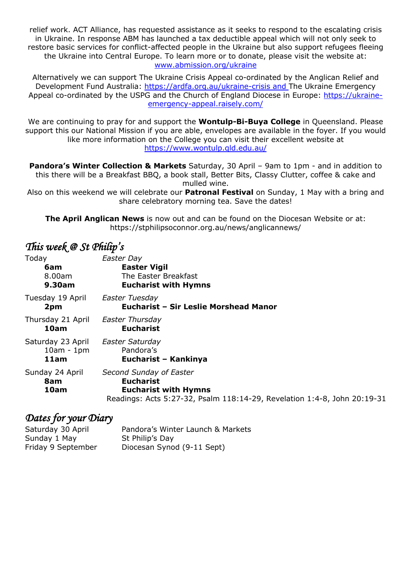relief work. ACT Alliance, has requested assistance as it seeks to respond to the escalating crisis in Ukraine. In response ABM has launched a tax deductible appeal which will not only seek to restore basic services for conflict-affected people in the Ukraine but also support refugees fleeing the Ukraine into Central Europe. To learn more or to donate, please visit the website at: www.abmission.org/ukraine

Alternatively we can support The Ukraine Crisis Appeal co-ordinated by the Anglican Relief and Development Fund Australia: https://ardfa.org.au/ukraine-crisis and The Ukraine Emergency Appeal co-ordinated by the USPG and the Church of England Diocese in Europe: https://ukraineemergency-appeal.raisely.com/

We are continuing to pray for and support the **Wontulp-Bi-Buya College** in Queensland. Please support this our National Mission if you are able, envelopes are available in the foyer. If you would like more information on the College you can visit their excellent website at https://www.wontulp.qld.edu.au/

**Pandora's Winter Collection & Markets** Saturday, 30 April – 9am to 1pm - and in addition to this there will be a Breakfast BBQ, a book stall, Better Bits, Classy Clutter, coffee & cake and mulled wine.

Also on this weekend we will celebrate our **Patronal Festival** on Sunday, 1 May with a bring and share celebratory morning tea. Save the dates!

**The April Anglican News** is now out and can be found on the Diocesan Website or at: https://stphilipsoconnor.org.au/news/anglicannews/

# *This week @ St Philip's*

| Today                          | Easter Day                                                                                                                                             |
|--------------------------------|--------------------------------------------------------------------------------------------------------------------------------------------------------|
| 6am                            | <b>Easter Vigil</b>                                                                                                                                    |
| 8.00am                         | The Easter Breakfast                                                                                                                                   |
| 9.30am                         | <b>Eucharist with Hymns</b>                                                                                                                            |
| Tuesday 19 April               | Easter Tuesday                                                                                                                                         |
| 2pm                            | Eucharist - Sir Leslie Morshead Manor                                                                                                                  |
| Thursday 21 April              | Easter Thursday                                                                                                                                        |
| 10am                           | <b>Eucharist</b>                                                                                                                                       |
| Saturday 23 April              | Easter Saturday                                                                                                                                        |
| $10am - 1pm$                   | Pandora's                                                                                                                                              |
| 11am                           | Eucharist - Kankinya                                                                                                                                   |
| Sunday 24 April<br>8am<br>10am | Second Sunday of Easter<br><b>Eucharist</b><br><b>Eucharist with Hymns</b><br>Readings: Acts 5:27-32, Psalm 118:14-29, Revelation 1:4-8, John 20:19-31 |

# *Dates for your Diary*

| Saturday 30 April  | Pandora's Winter Launch & Markets |
|--------------------|-----------------------------------|
| Sunday 1 May       | St Philip's Day                   |
| Friday 9 September | Diocesan Synod (9-11 Sept)        |